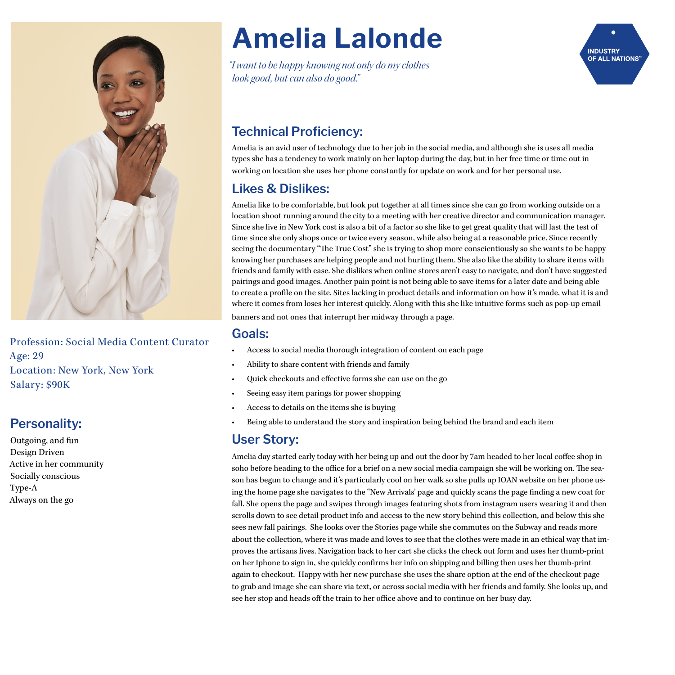

Profession: Social Media Content Curator Age: 29 Location: New York, New York Salary: \$90K

#### **Personality:**

Outgoing, and fun Design Driven Active in her community Socially conscious Type-A Always on the go

# **Amelia Lalonde**

*"I want to be happy knowing not only do my clothes look good, but can also do good."*



# **Technical Proficiency:**

Amelia is an avid user of technology due to her job in the social media, and although she is uses all media types she has a tendency to work mainly on her laptop during the day, but in her free time or time out in working on location she uses her phone constantly for update on work and for her personal use.

### **Likes & Dislikes:**

Amelia like to be comfortable, but look put together at all times since she can go from working outside on a location shoot running around the city to a meeting with her creative director and communication manager. Since she live in New York cost is also a bit of a factor so she like to get great quality that will last the test of time since she only shops once or twice every season, while also being at a reasonable price. Since recently seeing the documentary "The True Cost" she is trying to shop more conscientiously so she wants to be happy knowing her purchases are helping people and not hurting them. She also like the ability to share items with friends and family with ease. She dislikes when online stores aren't easy to navigate, and don't have suggested pairings and good images. Another pain point is not being able to save items for a later date and being able to create a profle on the site. Sites lacking in product details and information on how it's made, what it is and where it comes from loses her interest quickly. Along with this she like intuitive forms such as pop-up email

banners and not ones that interrupt her midway through a page.

#### **Goals:**

- Access to social media thorough integration of content on each page
- Ability to share content with friends and family
- Quick checkouts and efective forms she can use on the go
- Seeing easy item parings for power shopping
- Access to details on the items she is buying
- Being able to understand the story and inspiration being behind the brand and each item

#### **User Story:**

Amelia day started early today with her being up and out the door by 7am headed to her local cofee shop in soho before heading to the office for a brief on a new social media campaign she will be working on. The season has begun to change and it's particularly cool on her walk so she pulls up IOAN website on her phone using the home page she navigates to the "New Arrivals' page and quickly scans the page fnding a new coat for fall. She opens the page and swipes through images featuring shots from instagram users wearing it and then scrolls down to see detail product info and access to the new story behind this collection, and below this she sees new fall pairings. She looks over the Stories page while she commutes on the Subway and reads more about the collection, where it was made and loves to see that the clothes were made in an ethical way that improves the artisans lives. Navigation back to her cart she clicks the check out form and uses her thumb-print on her Iphone to sign in, she quickly confrms her info on shipping and billing then uses her thumb-print again to checkout. Happy with her new purchase she uses the share option at the end of the checkout page to grab and image she can share via text, or across social media with her friends and family. She looks up, and see her stop and heads off the train to her office above and to continue on her busy day.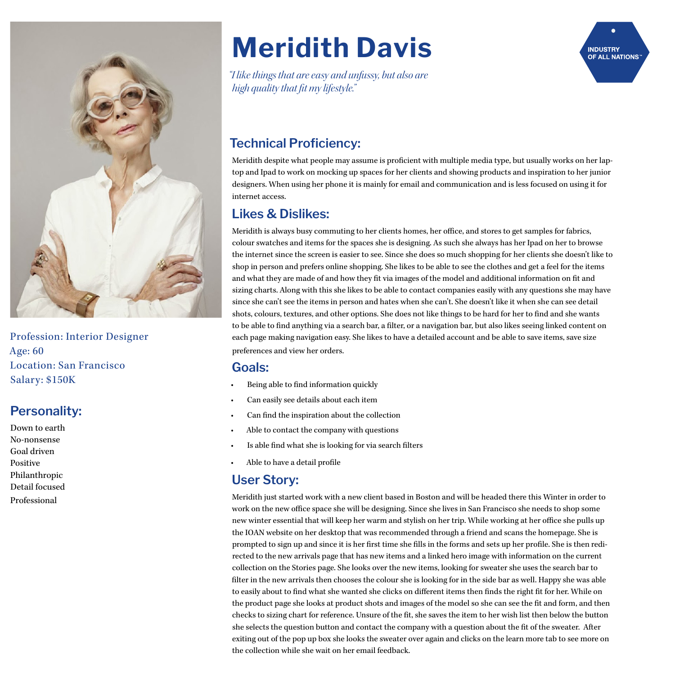

Profession: Interior Designer Age: 60 Location: San Francisco Salary: \$150K

#### **Personality:**

Down to earth No-nonsense Goal driven Positive Philanthropic Detail focused Professional

# **Meridith Davis**

*"I like things that are easy and unfussy, but also are high quality that* f*t my lifestyle."* 



## **Technical Proficiency:**

Meridith despite what people may assume is profcient with multiple media type, but usually works on her laptop and Ipad to work on mocking up spaces for her clients and showing products and inspiration to her junior designers. When using her phone it is mainly for email and communication and is less focused on using it for internet access.

### **Likes & Dislikes:**

Meridith is always busy commuting to her clients homes, her office, and stores to get samples for fabrics, colour swatches and items for the spaces she is designing. As such she always has her Ipad on her to browse the internet since the screen is easier to see. Since she does so much shopping for her clients she doesn't like to shop in person and prefers online shopping. She likes to be able to see the clothes and get a feel for the items and what they are made of and how they ft via images of the model and additional information on ft and sizing charts. Along with this she likes to be able to contact companies easily with any questions she may have since she can't see the items in person and hates when she can't. She doesn't like it when she can see detail shots, colours, textures, and other options. She does not like things to be hard for her to fnd and she wants to be able to fnd anything via a search bar, a flter, or a navigation bar, but also likes seeing linked content on each page making navigation easy. She likes to have a detailed account and be able to save items, save size preferences and view her orders.

#### **Goals:**

- Being able to fnd information quickly
- Can easily see details about each item
- Can fnd the inspiration about the collection
- Able to contact the company with questions
- Is able find what she is looking for via search filters
- Able to have a detail profle

#### **User Story:**

Meridith just started work with a new client based in Boston and will be headed there this Winter in order to work on the new office space she will be designing. Since she lives in San Francisco she needs to shop some new winter essential that will keep her warm and stylish on her trip. While working at her office she pulls up the IOAN website on her desktop that was recommended through a friend and scans the homepage. She is prompted to sign up and since it is her frst time she flls in the forms and sets up her profle. She is then redirected to the new arrivals page that has new items and a linked hero image with information on the current collection on the Stories page. She looks over the new items, looking for sweater she uses the search bar to flter in the new arrivals then chooses the colour she is looking for in the side bar as well. Happy she was able to easily about to fnd what she wanted she clicks on diferent items then fnds the right ft for her. While on the product page she looks at product shots and images of the model so she can see the ft and form, and then checks to sizing chart for reference. Unsure of the ft, she saves the item to her wish list then below the button she selects the question button and contact the company with a question about the fit of the sweater. After exiting out of the pop up box she looks the sweater over again and clicks on the learn more tab to see more on the collection while she wait on her email feedback.